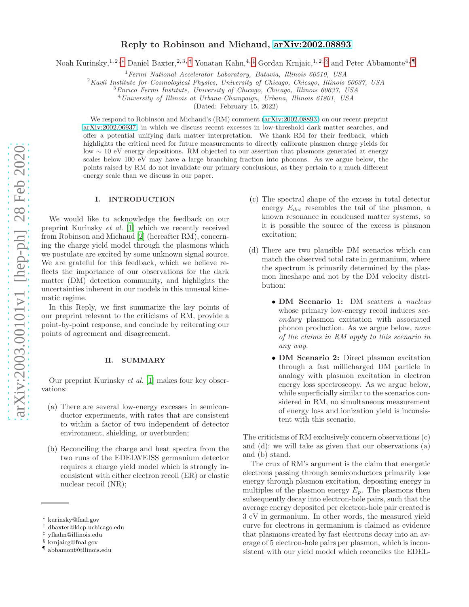# Reply to Robinson and Michaud, [arXiv:2002.08893](http://arxiv.org/abs/2002.08893)

Noah Kurinsky,<sup>1, 2,</sup> [∗](#page-0-0) Daniel Baxter,<sup>2, 3,[†](#page-0-1)</sup> Yonatan Kahn,<sup>4,[‡](#page-0-2)</sup> Gordan Krnjaic,<sup>1, 2, [§](#page-0-3)</sup> and Peter Abbamonte<sup>4,</sup> [¶](#page-0-4)

 $1$ Fermi National Accelerator Laboratory, Batavia, Illinois 60510, USA

 $2$ Kavli Institute for Cosmological Physics, University of Chicago, Chicago, Illinois 60637, USA

<sup>3</sup>Enrico Fermi Institute, University of Chicago, Chicago, Illinois 60637, USA

<sup>4</sup>University of Illinois at Urbana-Champaign, Urbana, Illinois 61801, USA

(Dated: February 15, 2022)

We respond to Robinson and Michaud's (RM) comment [\(arXiv:2002.08893\)](http://arxiv.org/abs/2002.08893) on our recent preprint [arXiv:2002.06937,](http://arxiv.org/abs/2002.06937) in which we discuss recent excesses in low-threshold dark matter searches, and offer a potential unifying dark matter interpretation. We thank RM for their feedback, which highlights the critical need for future measurements to directly calibrate plasmon charge yields for low ∼ 10 eV energy depositions. RM objected to our assertion that plasmons generated at energy scales below 100 eV may have a large branching fraction into phonons. As we argue below, the points raised by RM do not invalidate our primary conclusions, as they pertain to a much different energy scale than we discuss in our paper.

#### I. INTRODUCTION

We would like to acknowledge the feedback on our preprint Kurinsky et al. [\[1](#page-3-0)] which we recently received from Robinson and Michaud [\[2\]](#page-3-1) (hereafter RM), concerning the charge yield model through the plasmons which we postulate are excited by some unknown signal source. We are grateful for this feedback, which we believe reflects the importance of our observations for the dark matter (DM) detection community, and highlights the uncertainties inherent in our models in this unusual kinematic regime.

In this Reply, we first summarize the key points of our preprint relevant to the criticisms of RM, provide a point-by-point response, and conclude by reiterating our points of agreement and disagreement.

### <span id="page-0-5"></span>II. SUMMARY

Our preprint Kurinsky et al. [\[1\]](#page-3-0) makes four key observations:

- (a) There are several low-energy excesses in semiconductor experiments, with rates that are consistent to within a factor of two independent of detector environment, shielding, or overburden;
- (b) Reconciling the charge and heat spectra from the two runs of the EDELWEISS germanium detector requires a charge yield model which is strongly inconsistent with either electron recoil (ER) or elastic nuclear recoil (NR);
- (c) The spectral shape of the excess in total detector energy  $E_{det}$  resembles the tail of the plasmon, a known resonance in condensed matter systems, so it is possible the source of the excess is plasmon excitation;
- (d) There are two plausible DM scenarios which can match the observed total rate in germanium, where the spectrum is primarily determined by the plasmon lineshape and not by the DM velocity distribution:
	- DM Scenario 1: DM scatters a nucleus whose primary low-energy recoil induces  $sec$ ondary plasmon excitation with associated phonon production. As we argue below, none of the claims in RM apply to this scenario in any way.
	- DM Scenario 2: Direct plasmon excitation through a fast millicharged DM particle in analogy with plasmon excitation in electron energy loss spectroscopy. As we argue below, while superficially similar to the scenarios considered in RM, no simultaneous measurement of energy loss and ionization yield is inconsistent with this scenario.

The criticisms of RM exclusively concern observations (c) and (d); we will take as given that our observations (a) and (b) stand.

The crux of RM's argument is the claim that energetic electrons passing through semiconductors primarily lose energy through plasmon excitation, depositing energy in multiples of the plasmon energy  $E_p$ . The plasmons then subsequently decay into electron-hole pairs, such that the average energy deposited per electron-hole pair created is 3 eV in germanium. In other words, the measured yield curve for electrons in germanium is claimed as evidence that plasmons created by fast electrons decay into an average of 5 electron-hole pairs per plasmon, which is inconsistent with our yield model which reconciles the EDEL-

<span id="page-0-0"></span><sup>∗</sup> kurinsky@fnal.gov

<span id="page-0-1"></span><sup>†</sup> dbaxter@kicp.uchicago.edu

<span id="page-0-2"></span><sup>‡</sup> yfkahn@illinois.edu

<span id="page-0-3"></span><sup>§</sup> krnjaicg@fnal.gov

<span id="page-0-4"></span><sup>¶</sup> abbamont@illinois.edu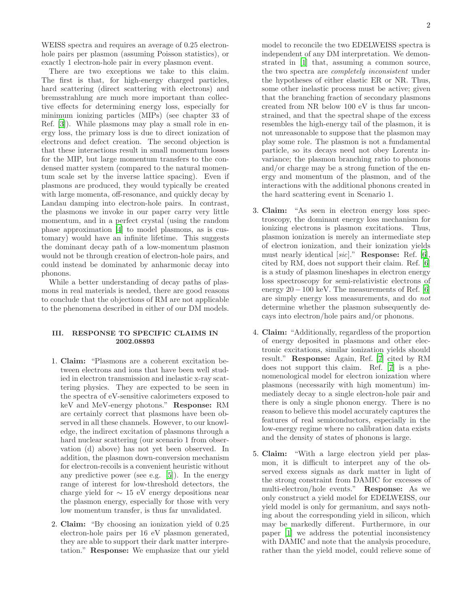WEISS spectra and requires an average of 0.25 electronhole pairs per plasmon (assuming Poisson statistics), or exactly 1 electron-hole pair in every plasmon event.

There are two exceptions we take to this claim. The first is that, for high-energy charged particles, hard scattering (direct scattering with electrons) and bremsstrahlung are much more important than collective effects for determining energy loss, especially for minimum ionizing particles (MIPs) (see chapter 33 of Ref. [\[3](#page-3-2)]). While plasmons may play a small role in energy loss, the primary loss is due to direct ionization of electrons and defect creation. The second objection is that these interactions result in small momentum losses for the MIP, but large momentum transfers to the condensed matter system (compared to the natural momentum scale set by the inverse lattice spacing). Even if plasmons are produced, they would typically be created with large momenta, off-resonance, and quickly decay by Landau damping into electron-hole pairs. In contrast, the plasmons we invoke in our paper carry very little momentum, and in a perfect crystal (using the random phase approximation [\[4](#page-3-3)] to model plasmons, as is customary) would have an infinite lifetime. This suggests the dominant decay path of a low-momentum plasmon would not be through creation of electron-hole pairs, and could instead be dominated by anharmonic decay into phonons.

While a better understanding of decay paths of plasmons in real materials is needed, there are good reasons to conclude that the objections of RM are not applicable to the phenomena described in either of our DM models.

# III. RESPONSE TO SPECIFIC CLAIMS IN 2002.08893

- 1. Claim: "Plasmons are a coherent excitation between electrons and ions that have been well studied in electron transmission and inelastic x-ray scattering physics. They are expected to be seen in the spectra of eV-sensitive calorimeters exposed to keV and MeV-energy photons." Response: RM are certainly correct that plasmons have been observed in all these channels. However, to our knowledge, the indirect excitation of plasmons through a hard nuclear scattering (our scenario 1 from observation (d) above) has not yet been observed. In addition, the plasmon down-conversion mechanism for electron-recoils is a convenient heuristic without any predictive power (see e.g. [\[5](#page-3-4)]). In the energy range of interest for low-threshold detectors, the charge yield for  $\sim 15$  eV energy depositions near the plasmon energy, especially for those with very low momentum transfer, is thus far unvalidated.
- 2. Claim: "By choosing an ionization yield of 0.25 electron-hole pairs per 16 eV plasmon generated, they are able to support their dark matter interpretation." Response: We emphasize that our yield

model to reconcile the two EDELWEISS spectra is independent of any DM interpretation. We demonstrated in [\[1](#page-3-0)] that, assuming a common source, the two spectra are completely inconsistent under the hypotheses of either elastic ER or NR. Thus, some other inelastic process must be active; given that the branching fraction of secondary plasmons created from NR below 100 eV is thus far unconstrained, and that the spectral shape of the excess resembles the high-energy tail of the plasmon, it is not unreasonable to suppose that the plasmon may play some role. The plasmon is not a fundamental particle, so its decays need not obey Lorentz invariance; the plasmon branching ratio to phonons and/or charge may be a strong function of the energy and momentum of the plasmon, and of the interactions with the additional phonons created in the hard scattering event in Scenario 1.

- 3. Claim: "As seen in electron energy loss spectroscopy, the dominant energy loss mechanism for ionizing electrons is plasmon excitations. Thus, plasmon ionization is merely an intermediate step of electron ionization, and their ionization yields must nearly identical [sic]." Response: Ref. [\[6\]](#page-3-5), cited by RM, does not support their claim. Ref. [\[6](#page-3-5)] is a study of plasmon lineshapes in electron energy loss spectroscopy for semi-relativistic electrons of energy  $20 - 100$  keV. The measurements of Ref. [\[6](#page-3-5)] are simply energy loss measurements, and do not determine whether the plasmon subsequently decays into electron/hole pairs and/or phonons.
- 4. Claim: "Additionally, regardless of the proportion of energy deposited in plasmons and other electronic excitations, similar ionization yields should result." Response: Again, Ref. [\[7](#page-3-6)] cited by RM does not support this claim. Ref. [\[7\]](#page-3-6) is a phenomenological model for electron ionization where plasmons (necessarily with high momentum) immediately decay to a single electron-hole pair and there is only a single phonon energy. There is no reason to believe this model accurately captures the features of real semiconductors, especially in the low-energy regime where no calibration data exists and the density of states of phonons is large.
- 5. Claim: "With a large electron yield per plasmon, it is difficult to interpret any of the observed excess signals as dark matter in light of the strong constraint from DAMIC for excesses of multi-electron/hole events." Response: As we only construct a yield model for EDELWEISS, our yield model is only for germanium, and says nothing about the corresponding yield in silicon, which may be markedly different. Furthermore, in our paper [\[1\]](#page-3-0) we address the potential inconsistency with DAMIC and note that the analysis procedure, rather than the yield model, could relieve some of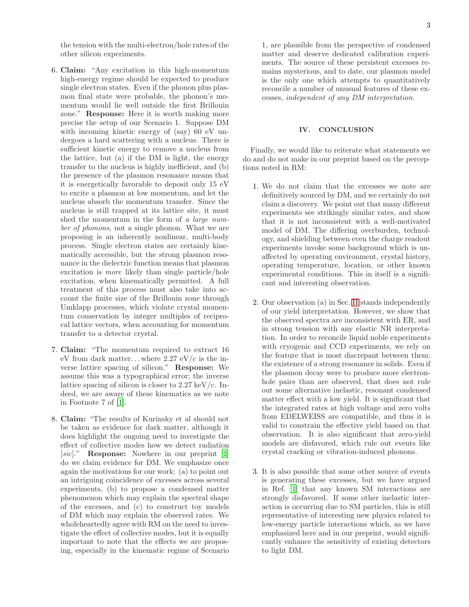the tension with the multi-electron/hole rates of the other silicon experiments.

- 6. Claim: "Any excitation in this high-momentum high-energy regime should be expected to produce single electron states. Even if the phonon plus plasmon final state were probable, the phonon's momentum would lie well outside the first Brillouin zone." Response: Here it is worth making more precise the setup of our Scenario 1. Suppose DM with incoming kinetic energy of (say) 60 eV undergoes a hard scattering with a nucleus. There is sufficient kinetic energy to remove a nucleus from the lattice, but (a) if the DM is light, the energy transfer to the nucleus is highly inefficient, and (b) the presence of the plasmon resonance means that it is energetically favorable to deposit only 15 eV to excite a plasmon at low momentum, and let the nucleus absorb the momentum transfer. Since the nucleus is still trapped at its lattice site, it must shed the momentum in the form of a large number of phonons, not a single phonon. What we are proposing is an inherently nonlinear, multi-body process. Single electron states are certainly kinematically accessible, but the strong plasmon resonance in the dielectric function means that plasmon excitation is more likely than single particle/hole excitation, when kinematically permitted. A full treatment of this process must also take into account the finite size of the Brillouin zone through Umklapp processes, which violate crystal momentum conservation by integer multiples of reciprocal lattice vectors, when accounting for momentum transfer to a detector crystal.
- 7. Claim: "The momentum required to extract 16 eV from dark matter...where 2.27 eV/c is the inverse lattice spacing of silicon." Response: We assume this was a typographical error; the inverse lattice spacing of silicon is closer to  $2.27 \text{ keV}/c$ . Indeed, we are aware of these kinematics as we note in Footnote 7 of [\[1\]](#page-3-0).
- 8. Claim: "The results of Kurinsky et al should not be taken as evidence for dark matter, although it does highlight the ongoing need to investigate the effect of collective modes how we detect radiation [sic]." **Response:** Nowhere in our preprint [\[1](#page-3-0)] do we claim evidence for DM. We emphasize once again the motivations for our work: (a) to point out an intriguing coincidence of excesses across several experiments, (b) to propose a condensed matter phenomenon which may explain the spectral shape of the excesses, and (c) to construct toy models of DM which may explain the observed rates. We wholeheartedly agree with RM on the need to investigate the effect of collective modes, but it is equally important to note that the effects we are proposing, especially in the kinematic regime of Scenario

1, are plausible from the perspective of condensed matter and deserve dedicated calibration experiments. The source of these persistent excesses remains mysterious, and to date, our plasmon model is the only one which attempts to quantitatively reconcile a number of unusual features of these excesses, independent of any DM interpretation.

## IV. CONCLUSION

Finally, we would like to reiterate what statements we do and do not make in our preprint based on the perceptions noted in RM:

- 1. We do not claim that the excesses we note are definitively sourced by DM, and we certainly do not claim a discovery. We point out that many different experiments see strikingly similar rates, and show that it is not inconsistent with a well-motivated model of DM. The differing overburden, technology, and shielding between even the charge readout experiments invoke some background which is unaffected by operating environment, crystal history, operating temperature, location, or other known experimental conditions. This in itself is a significant and interesting observation.
- 2. Our observation (a) in Sec. [II](#page-0-5) stands independently of our yield interpretation. However, we show that the observed spectra are inconsistent with ER, and in strong tension with any elastic NR interpretation. In order to reconcile liquid noble experiments with cryogenic and CCD experiments, we rely on the feature that is most discrepant between them: the existence of a strong resonance in solids. Even if the plasmon decay were to produce more electronhole pairs than are observed, that does not rule out some alternative inelastic, resonant condensed matter effect with a low yield. It is significant that the integrated rates at high voltage and zero volts from EDELWEISS are compatible, and thus it is valid to constrain the effective yield based on that observation. It is also significant that zero-yield models are disfavored, which rule out events like crystal cracking or vibration-induced phonons.
- 3. It is also possible that some other source of events is generating these excesses, but we have argued in Ref. [\[1](#page-3-0)] that any known SM interactions are strongly disfavored. If some other inelastic interaction is occurring due to SM particles, this is still representative of interesting new physics related to low-energy particle interactions which, as we have emphasized here and in our preprint, would significantly enhance the sensitivity of existing detectors to light DM.